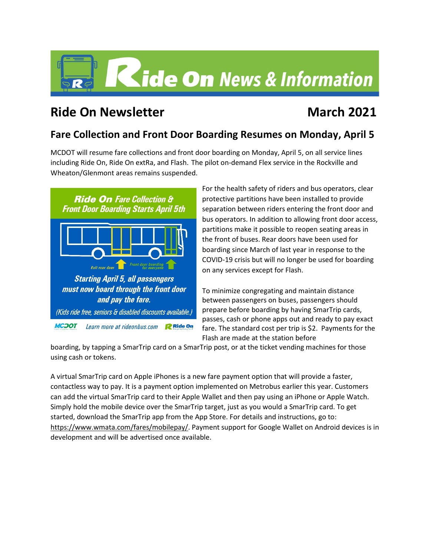

# **Ride On Newsletter March** 2021

### **Fare Collection and Front Door Boarding Resumes on Monday, April 5**

MCDOT will resume fare collections and front door boarding on Monday, April 5, on all service lines including Ride On, Ride On extRa, and Flash. The pilot on-demand Flex service in the Rockville and Wheaton/Glenmont areas remains suspended.



For the health safety of riders and bus operators, clear protective partitions have been installed to provide separation between riders entering the front door and bus operators. In addition to allowing front door access, partitions make it possible to reopen seating areas in the front of buses. Rear doors have been used for boarding since March of last year in response to the COVID-19 crisis but will no longer be used for boarding on any services except for Flash.

To minimize congregating and maintain distance between passengers on buses, passengers should prepare before boarding by having SmarTrip cards, passes, cash or phone apps out and ready to pay exact fare. The standard cost per trip is \$2. Payments for the Flash are made at the station before

boarding, by tapping a SmarTrip card on a SmarTrip post, or at the ticket vending machines for those using cash or tokens.

A virtual SmarTrip card on Apple iPhones is a new fare payment option that will provide a faster, contactless way to pay. It is a payment option implemented on Metrobus earlier this year. Customers can add the virtual SmarTrip card to their Apple Wallet and then pay using an iPhone or Apple Watch. Simply hold the mobile device over the SmarTrip target, just as you would a SmarTrip card. To get started, download the SmarTrip app from the App Store. For details and instructions, go to: [https://www.wmata.com/fares/mobilepay/.](https://gcc02.safelinks.protection.outlook.com/?url=https%3A%2F%2Fwww.wmata.com%2Ffares%2Fmobilepay%2F&data=04%7C01%7CSamuel.Oji%40montgomerycountymd.gov%7C4bbab96de6e84e5ca8e108d8a5fd424e%7C6e01b1f9b1e54073ac97778069a0ad64%7C0%7C0%7C637441854445548604%7CUnknown%7CTWFpbGZsb3d8eyJWIjoiMC4wLjAwMDAiLCJQIjoiV2luMzIiLCJBTiI6Ik1haWwiLCJXVCI6Mn0%3D%7C1000&sdata=lD1Bmc6Nw%2FenIpy2VbxEPqI%2BTcgqrrqKpi58mI1kkjQ%3D&reserved=0) Payment support for Google Wallet on Android devices is in development and will be advertised once available.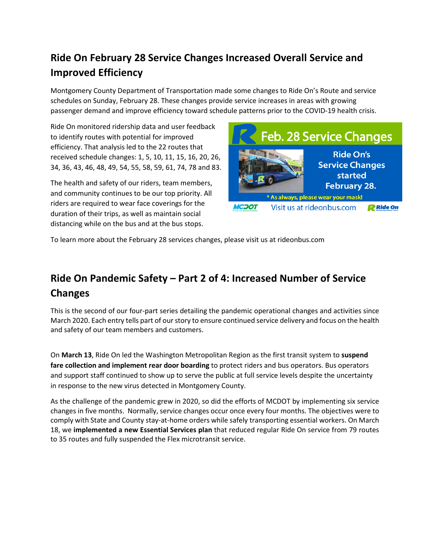# **Ride On February 28 Service Changes Increased Overall Service and Improved Efficiency**

Montgomery County Department of Transportation made some changes to Ride On's Route and service schedules on Sunday, February 28. These changes provide service increases in areas with growing passenger demand and improve efficiency toward schedule patterns prior to the COVID-19 health crisis.

Ride On monitored ridership data and user feedback to identify routes with potential for improved efficiency. That analysis led to the 22 routes that received schedule changes: 1, 5, 10, 11, 15, 16, 20, 26, 34, 36, 43, 46, 48, 49, 54, 55, 58, 59, 61, 74, 78 and 83.

The health and safety of our riders, team members, and community continues to be our top priority. All riders are required to wear face coverings for the duration of their trips, as well as maintain social distancing while on the bus and at the bus stops.



To learn more about the February 28 services changes, please visit us at rideonbus.com

# **Ride On Pandemic Safety – Part 2 of 4: Increased Number of Service Changes**

This is the second of our four-part series detailing the pandemic operational changes and activities since March 2020. Each entry tells part of our story to ensure continued service delivery and focus on the health and safety of our team members and customers.

On **March 13**, Ride On led the Washington Metropolitan Region as the first transit system to **suspend fare collection and implement rear door boarding** to protect riders and bus operators. Bus operators and support staff continued to show up to serve the public at full service levels despite the uncertainty in response to the new virus detected in Montgomery County.

As the challenge of the pandemic grew in 2020, so did the efforts of MCDOT by implementing six service changes in five months. Normally, service changes occur once every four months. The objectives were to comply with State and County stay-at-home orders while safely transporting essential workers. On March 18, we **implemented a new Essential Services plan** that reduced regular Ride On service from 79 routes to 35 routes and fully suspended the Flex microtransit service.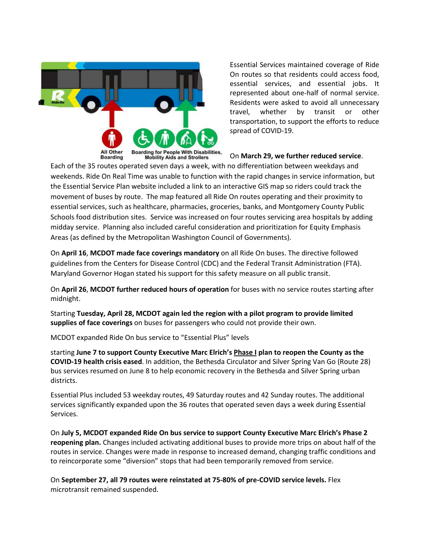

Essential Services maintained coverage of Ride On routes so that residents could access food, essential services, and essential jobs. It represented about one-half of normal service. Residents were asked to avoid all unnecessary travel, whether by transit or other transportation, to support the efforts to reduce spread of COVID-19.

#### On **March 29, we further reduced service**.

Each of the 35 routes operated seven days a week, with no differentiation between weekdays and weekends. Ride On Real Time was unable to function with the rapid changes in service information, but the Essential Service Plan website included a link to an interactive GIS map so riders could track the movement of buses by route. The map featured all Ride On routes operating and their proximity to essential services, such as healthcare, pharmacies, groceries, banks, and Montgomery County Public Schools food distribution sites. Service was increased on four routes servicing area hospitals by adding midday service. Planning also included careful consideration and prioritization for Equity Emphasis Areas (as defined by the Metropolitan Washington Council of Governments).

On **April 16**, **MCDOT made face coverings mandatory** on all Ride On buses. The directive followed guidelines from the Centers for Disease Control (CDC) and the Federal Transit Administration (FTA). Maryland Governor Hogan stated his support for this safety measure on all public transit.

On **April 26**, **MCDOT further reduced hours of operation** for buses with no service routes starting after midnight.

Starting **Tuesday, April 28, MCDOT again led the region with a pilot program to provide limited supplies of face coverings** on buses for passengers who could not provide their own.

MCDOT expanded Ride On bus service to "Essential Plus" levels

starting **June 7 to support County Executive Marc Elrich's [Phase I](https://www2.montgomerycountymd.gov/mcgportalapps/Press_Detail.aspx?Item_ID=25367) plan to reopen the County as the COVID-19 health crisis eased**. In addition, the Bethesda Circulator and Silver Spring Van Go (Route 28) bus services resumed on June 8 to help economic recovery in the Bethesda and Silver Spring urban districts.

Essential Plus included 53 weekday routes, 49 Saturday routes and 42 Sunday routes. The additional services significantly expanded upon the 36 routes that operated seven days a week during Essential Services.

On **July 5, MCDOT expanded Ride On bus service to support County Executive Marc Elrich's Phase 2 reopening plan.** Changes included activating additional buses to provide more trips on about half of the routes in service. Changes were made in response to increased demand, changing traffic conditions and to reincorporate some "diversion" stops that had been temporarily removed from service.

On **September 27, all 79 routes were reinstated at 75-80% of pre-COVID service levels.** Flex microtransit remained suspended.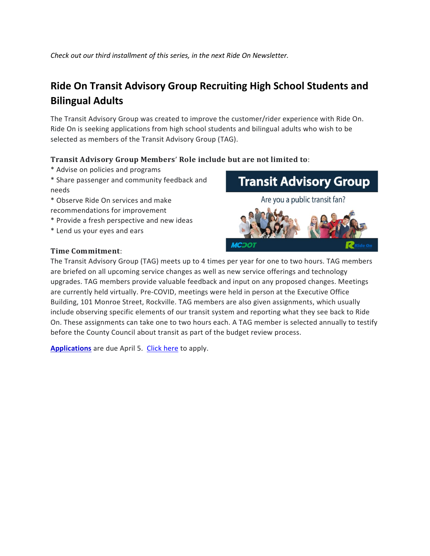*Check out our third installment of this series, in the next Ride On Newsletter.*

## **Ride On Transit Advisory Group Recruiting High School Students and Bilingual Adults**

The Transit Advisory Group was created to improve the customer/rider experience with Ride On. Ride On is seeking applications from high school students and bilingual adults who wish to be selected as members of the Transit Advisory Group (TAG).

### Transit Advisory Group Members' Role include but are not limited to:

- \* Advise on policies and programs
- \* Share passenger and community feedback and needs
- \* Observe Ride On services and make recommendations for improvement
- \* Provide a fresh perspective and new ideas
- \* Lend us your eyes and ears

### **Time Commitment:**

**Transit Advisory Group** Are you a public transit fan?



The Transit Advisory Group (TAG) meets up to 4 times per year for one to two hours. TAG members are briefed on all upcoming service changes as well as new service offerings and technology upgrades. TAG members provide valuable feedback and input on any proposed changes. Meetings are currently held virtually. Pre-COVID, meetings were held in person at the Executive Office Building, 101 Monroe Street, Rockville. TAG members are also given assignments, which usually include observing specific elements of our transit system and reporting what they see back to Ride On. These assignments can take one to two hours each. A TAG member is selected annually to testify before the County Council about transit as part of the budget review process.

**[Applications](https://forms.gle/rQMGh1W6kxuw7jncA)** are due April 5. [Click here](https://docs.google.com/forms/d/e/1FAIpQLSfmRVvfcSznI7WQ4PeJFZkz4dluICmqbbKuR6wm6efvTqm_lg/viewform) to apply.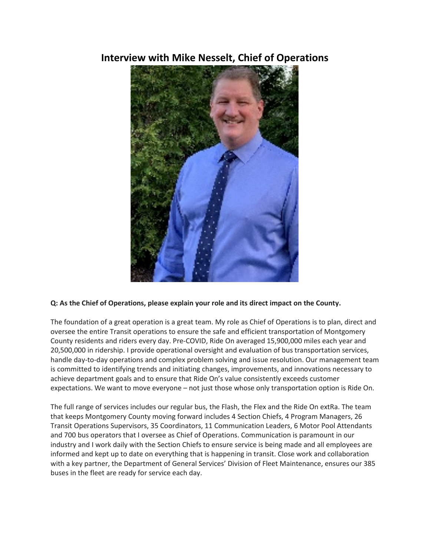### **Interview with Mike Nesselt, Chief of Operations**



### **Q: As the Chief of Operations, please explain your role and its direct impact on the County.**

The foundation of a great operation is a great team. My role as Chief of Operations is to plan, direct and oversee the entire Transit operations to ensure the safe and efficient transportation of Montgomery County residents and riders every day. Pre-COVID, Ride On averaged 15,900,000 miles each year and 20,500,000 in ridership. I provide operational oversight and evaluation of bus transportation services, handle day-to-day operations and complex problem solving and issue resolution. Our management team is committed to identifying trends and initiating changes, improvements, and innovations necessary to achieve department goals and to ensure that Ride On's value consistently exceeds customer expectations. We want to move everyone – not just those whose only transportation option is Ride On.

The full range of services includes our regular bus, the Flash, the Flex and the Ride On extRa. The team that keeps Montgomery County moving forward includes 4 Section Chiefs, 4 Program Managers, 26 Transit Operations Supervisors, 35 Coordinators, 11 Communication Leaders, 6 Motor Pool Attendants and 700 bus operators that I oversee as Chief of Operations. Communication is paramount in our industry and I work daily with the Section Chiefs to ensure service is being made and all employees are informed and kept up to date on everything that is happening in transit. Close work and collaboration with a key partner, the Department of General Services' Division of Fleet Maintenance, ensures our 385 buses in the fleet are ready for service each day.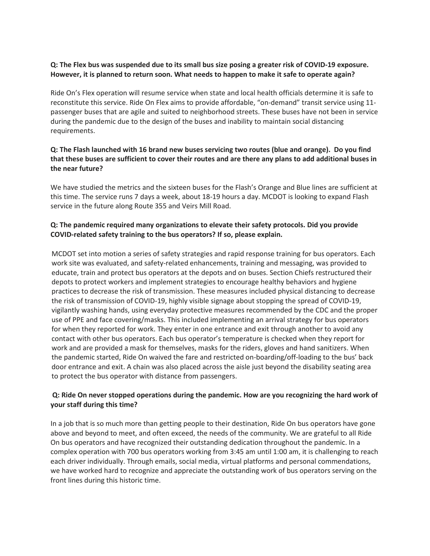#### Q: The Flex bus was suspended due to its small bus size posing a greater risk of COVID-19 exposure. **However, it is planned to return soon. What needs to happen to make it safe to operate again?**

Ride On's Flex operation will resume service when state and local health officials determine it is safe to reconstitute this service. Ride On Flex aims to provide affordable, "on-demand" transit service using 11 passenger buses that are agile and suited to neighborhood streets. These buses have not been in service during the pandemic due to the design of the buses and inability to maintain social distancing requirements.

### **Q: The Flash launched with 16 brand new buses servicing two routes (blue and orange). Do you find** that these buses are sufficient to cover their routes and are there any plans to add additional buses in **the near future?**

We have studied the metrics and the sixteen buses for the Flash's Orange and Blue lines are sufficient at this time. The service runs 7 days a week, about 18-19 hours a day. MCDOT is looking to expand Flash service in the future along Route 355 and Veirs Mill Road.

### **Q: The pandemic required many organizations to elevate their safety protocols. Did you provide COVID-related safety training to the bus operators? If so, please explain.**

MCDOT set into motion a series of safety strategies and rapid response training for bus operators. Each work site was evaluated, and safety-related enhancements, training and messaging, was provided to educate, train and protect bus operators at the depots and on buses. Section Chiefs restructured their depots to protect workers and implement strategies to encourage healthy behaviors and hygiene practices to decrease the risk of transmission. These measures included physical distancing to decrease the risk of transmission of COVID-19, highly visible signage about stopping the spread of COVID-19, vigilantly washing hands, using everyday protective measures recommended by the CDC and the proper use of PPE and face covering/masks. This included implementing an arrival strategy for bus operators for when they reported for work. They enter in one entrance and exit through another to avoid any contact with other bus operators. Each bus operator's temperature is checked when they report for work and are provided a mask for themselves, masks for the riders, gloves and hand sanitizers. When the pandemic started, Ride On waived the fare and restricted on-boarding/off-loading to the bus' back door entrance and exit. A chain was also placed across the aisle just beyond the disability seating area to protect the bus operator with distance from passengers.

### **Q: Ride On never stopped operations during the pandemic. How are you recognizing the hard work of your staff during this time?**

In a job that is so much more than getting people to their destination, Ride On bus operators have gone above and beyond to meet, and often exceed, the needs of the community. We are grateful to all Ride On bus operators and have recognized their outstanding dedication throughout the pandemic. In a complex operation with 700 bus operators working from 3:45 am until 1:00 am, it is challenging to reach each driver individually. Through emails, social media, virtual platforms and personal commendations, we have worked hard to recognize and appreciate the outstanding work of bus operators serving on the front lines during this historic time.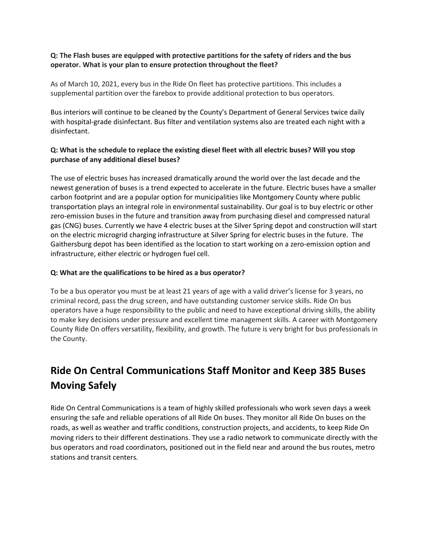#### **Q: The Flash buses are equipped with protective partitions for the safety of riders and the bus operator. What is your plan to ensure protection throughout the fleet?**

As of March 10, 2021, every bus in the Ride On fleet has protective partitions. This includes a supplemental partition over the farebox to provide additional protection to bus operators.

Bus interiors will continue to be cleaned by the County's Department of General Services twice daily with hospital-grade disinfectant. Bus filter and ventilation systems also are treated each night with a disinfectant.

#### Q: What is the schedule to replace the existing diesel fleet with all electric buses? Will you stop **purchase of any additional diesel buses?**

The use of electric buses has increased dramatically around the world over the last decade and the newest generation of buses is a trend expected to accelerate in the future. Electric buses have a smaller carbon footprint and are a popular option for municipalities like Montgomery County where public transportation plays an integral role in environmental sustainability. Our goal is to buy electric or other zero-emission buses in the future and transition away from purchasing diesel and compressed natural gas (CNG) buses. Currently we have 4 electric buses at the Silver Spring depot and construction will start on the electric microgrid charging infrastructure at Silver Spring for electric buses in the future. The Gaithersburg depot has been identified as the location to start working on a zero-emission option and infrastructure, either electric or hydrogen fuel cell.

#### **Q: What are the qualifications to be hired as a bus operator?**

To be a bus operator you must be at least 21 years of age with a valid driver's license for 3 years, no criminal record, pass the drug screen, and have outstanding customer service skills. Ride On bus operators have a huge responsibility to the public and need to have exceptional driving skills, the ability to make key decisions under pressure and excellent time management skills. A career with Montgomery County Ride On offers versatility, flexibility, and growth. The future is very bright for bus professionals in the County.

# **Ride On Central Communications Staff Monitor and Keep 385 Buses Moving Safely**

Ride On Central Communications is a team of highly skilled professionals who work seven days a week ensuring the safe and reliable operations of all Ride On buses. They monitor all Ride On buses on the roads, as well as weather and traffic conditions, construction projects, and accidents, to keep Ride On moving riders to their different destinations. They use a radio network to communicate directly with the bus operators and road coordinators, positioned out in the field near and around the bus routes, metro stations and transit centers.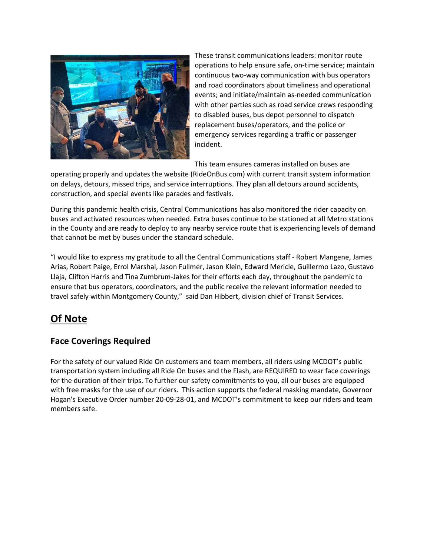

These transit communications leaders: monitor route operations to help ensure safe, on-time service; maintain continuous two-way communication with bus operators and road coordinators about timeliness and operational events; and initiate/maintain as-needed communication with other parties such as road service crews responding to disabled buses, bus depot personnel to dispatch replacement buses/operators, and the police or emergency services regarding a traffic or passenger incident.

This team ensures cameras installed on buses are

operating properly and updates the website (RideOnBus.com) with current transit system information on delays, detours, missed trips, and service interruptions. They plan all detours around accidents, construction, and special events like parades and festivals.

During this pandemic health crisis, Central Communications has also monitored the rider capacity on buses and activated resources when needed. Extra buses continue to be stationed at all Metro stations in the County and are ready to deploy to any nearby service route that is experiencing levels of demand that cannot be met by buses under the standard schedule.

"I would like to express my gratitude to all the Central Communications staff - Robert Mangene, James Arias, Robert Paige, Errol Marshal, Jason Fullmer, Jason Klein, Edward Mericle, Guillermo Lazo, Gustavo Llaja, Clifton Harris and Tina Zumbrum-Jakes for their efforts each day, throughout the pandemic to ensure that bus operators, coordinators, and the public receive the relevant information needed to travel safely within Montgomery County," said Dan Hibbert, division chief of Transit Services.

### **Of Note**

### **Face Coverings Required**

For the safety of our valued Ride On customers and team members, all riders using MCDOT's public transportation system including all Ride On buses and the Flash, are REQUIRED to wear face coverings for the duration of their trips. To further our safety commitments to you, all our buses are equipped with free masks for the use of our riders. This action supports the federal masking mandate, Governor Hogan's Executive Order number 20-09-28-01, and MCDOT's commitment to keep our riders and team members safe.